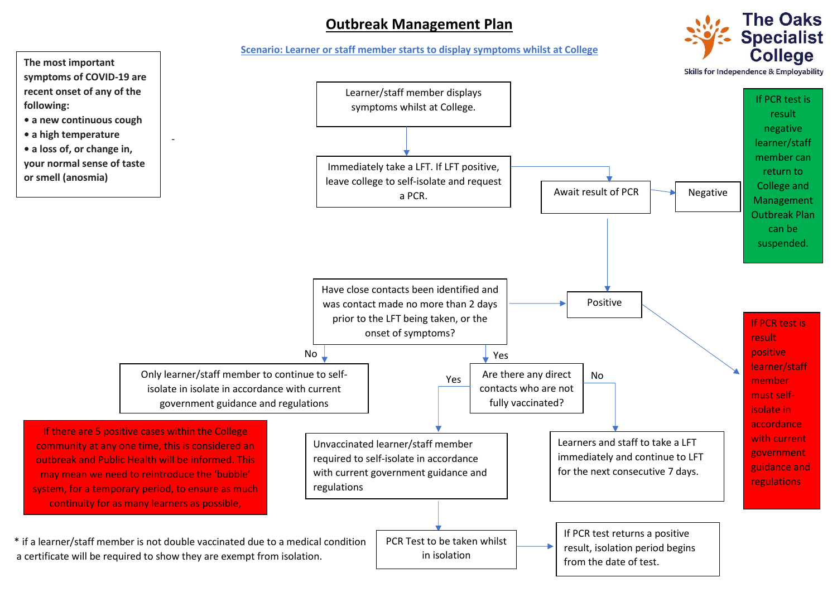## **Outbreak Management Plan**